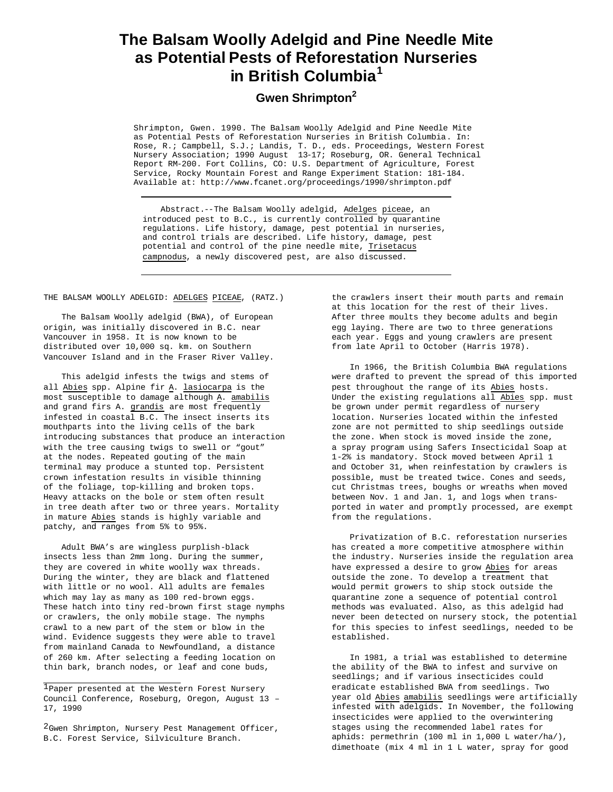## **The Balsam Woolly Adelgid and Pine Needle Mite as Potential Pests of Reforestation Nurseries in British Columbia<sup>1</sup>**

## **Gwen Shrimpton<sup>2</sup>**

Shrimpton, Gwen. 1990. The Balsam Woolly Adelgid and Pine Needle Mite as Potential Pests of Reforestation Nurseries in British Columbia. In: Rose, R.; Campbell, S.J.; Landis, T. D., eds. Proceedings, Western Forest Nursery Association; 1990 August 13-17; Roseburg, OR. General Technical Report RM-200. Fort Collins, CO: U.S. Department of Agriculture, Forest Service, Rocky Mountain Forest and Range Experiment Station: 181-184. Available at: http://www.fcanet.org/proceedings/1990/shrimpton.pdf

Abstract.--The Balsam Woolly adelgid, Adelges piceae, an introduced pest to B.C., is currently controlled by quarantine regulations. Life history, damage, pest potential in nurseries, and control trials are described. Life history, damage, pest potential and control of the pine needle mite, Trisetacus campnodus, a newly discovered pest, are also discussed.

THE BALSAM WOOLLY ADELGID: ADELGES PICEAE, (RATZ.)

The Balsam Woolly adelgid (BWA), of European origin, was initially discovered in B.C. near Vancouver in 1958. It is now known to be distributed over 10,000 sq. km. on Southern Vancouver Island and in the Fraser River Valley.

This adelgid infests the twigs and stems of all Abies spp. Alpine fir A. lasiocarpa is the most susceptible to damage although A. amabilis and grand firs A. grandis are most frequently infested in coastal B.C. The insect inserts its mouthparts into the living cells of the bark introducing substances that produce an interaction with the tree causing twigs to swell or "gout" at the nodes. Repeated gouting of the main terminal may produce a stunted top. Persistent crown infestation results in visible thinning of the foliage, top-killing and broken tops. Heavy attacks on the bole or stem often result in tree death after two or three years. Mortality in mature Abies stands is highly variable and patchy, and ranges from 5% to 95%.

Adult BWA's are wingless purplish-black insects less than 2mm long. During the summer, they are covered in white woolly wax threads. During the winter, they are black and flattened with little or no wool. All adults are females which may lay as many as 100 red-brown eggs. These hatch into tiny red-brown first stage nymphs or crawlers, the only mobile stage. The nymphs crawl to a new part of the stem or blow in the wind. Evidence suggests they were able to travel from mainland Canada to Newfoundland, a distance of 260 km. After selecting a feeding location on thin bark, branch nodes, or leaf and cone buds,

the crawlers insert their mouth parts and remain at this location for the rest of their lives. After three moults they become adults and begin egg laying. There are two to three generations each year. Eggs and young crawlers are present from late April to October (Harris 1978).

In 1966, the British Columbia BWA regulations were drafted to prevent the spread of this imported pest throughout the range of its Abies hosts. Under the existing regulations all Abies spp. must be grown under permit regardless of nursery location. Nurseries located within the infested zone are not permitted to ship seedlings outside the zone. When stock is moved inside the zone, a spray program using Safers Insecticidal Soap at 1-2% is mandatory. Stock moved between April 1 and October 31, when reinfestation by crawlers is possible, must be treated twice. Cones and seeds, cut Christmas trees, boughs or wreaths when moved between Nov. 1 and Jan. 1, and logs when transported in water and promptly processed, are exempt from the regulations.

Privatization of B.C. reforestation nurseries has created a more competitive atmosphere within the industry. Nurseries inside the regulation area have expressed a desire to grow Abies for areas outside the zone. To develop a treatment that would permit growers to ship stock outside the quarantine zone a sequence of potential control methods was evaluated. Also, as this adelgid had never been detected on nursery stock, the potential for this species to infest seedlings, needed to be established.

In 1981, a trial was established to determine the ability of the BWA to infest and survive on seedlings; and if various insecticides could eradicate established BWA from seedlings. Two year old Abies amabilis seedlings were artificially infested with adelgids. In November, the following insecticides were applied to the overwintering stages using the recommended label rates for aphids: permethrin (100 ml in 1,000 L water/ha/), dimethoate (mix 4 ml in 1 L water, spray for good

<sup>1</sup>Paper presented at the Western Forest Nursery Council Conference, Roseburg, Oregon, August 13 – 17, 1990

<sup>&</sup>lt;sup>2</sup>Gwen Shrimpton, Nursery Pest Management Officer, B.C. Forest Service, Silviculture Branch.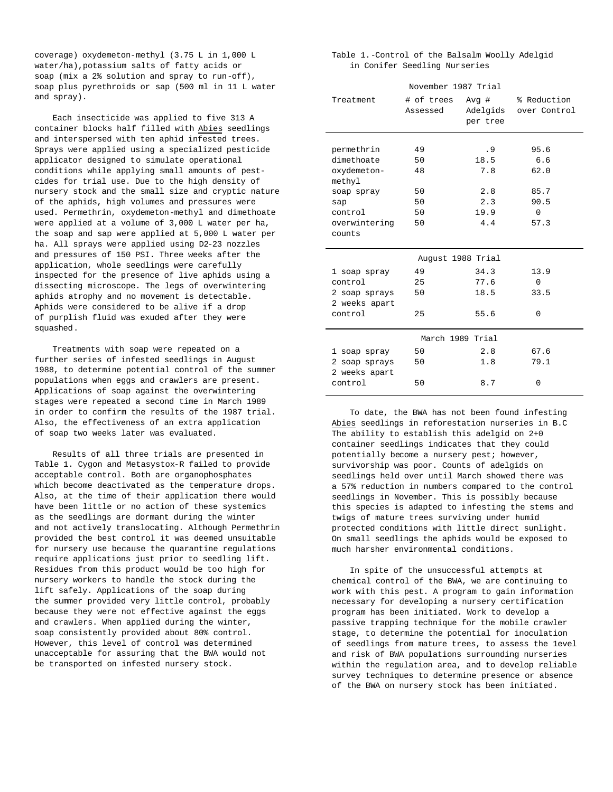coverage) oxydemeton-methyl (3.75 L in 1,000 L water/ha),potassium salts of fatty acids or soap (mix a 2% solution and spray to run-off), soap plus pyrethroids or sap (500 ml in 11 L water and spray).

Each insecticide was applied to five 313 A container blocks half filled with Abies seedlings and interspersed with ten aphid infested trees. Sprays were applied using a specialized pesticide applicator designed to simulate operational conditions while applying small amounts of pestcides for trial use. Due to the high density of nursery stock and the small size and cryptic nature of the aphids, high volumes and pressures were used. Permethrin, oxydemeton-methyl and dimethoate were applied at a volume of 3,000 L water per ha, the soap and sap were applied at 5,000 L water per ha. All sprays were applied using D2-23 nozzles and pressures of 150 PSI. Three weeks after the application, whole seedlings were carefully inspected for the presence of live aphids using a dissecting microscope. The legs of overwintering aphids atrophy and no movement is detectable. Aphids were considered to be alive if a drop of purplish fluid was exuded after they were squashed.

Treatments with soap were repeated on a further series of infested seedlings in August 1988, to determine potential control of the summer populations when eggs and crawlers are present. Applications of soap against the overwintering stages were repeated a second time in March 1989 in order to confirm the results of the 1987 trial. Also, the effectiveness of an extra application of soap two weeks later was evaluated.

Results of all three trials are presented in Table 1. Cygon and Metasystox-R failed to provide acceptable control. Both are organophosphates which become deactivated as the temperature drops. Also, at the time of their application there would have been little or no action of these systemics as the seedlings are dormant during the winter and not actively translocating. Although Permethrin provided the best control it was deemed unsuitable for nursery use because the quarantine regulations require applications just prior to seedling lift. Residues from this product would be too high for nursery workers to handle the stock during the lift safely. Applications of the soap during the summer provided very little control, probably because they were not effective against the eggs and crawlers. When applied during the winter, soap consistently provided about 80% control. However, this level of control was determined unacceptable for assuring that the BWA would not be transported on infested nursery stock.

Table 1.-Control of the Balsalm Woolly Adelgid in Conifer Seedling Nurseries

| November 1987 Trial   |                        |                  |                                      |
|-----------------------|------------------------|------------------|--------------------------------------|
| Treatment             | # of trees<br>Assessed | Avg#<br>per tree | % Reduction<br>Adelgids over Control |
|                       |                        |                  |                                      |
| permethrin            | 49                     | .9               | 95.6                                 |
| dimethoate            | 50                     | 18.5             | 6.6                                  |
| oxydemeton-<br>methyl | 48                     | 7.8              | 62.0                                 |
| soap spray            | 50                     | 2.8              | 85.7                                 |
| sap                   | 50                     | 2.3              | 90.5                                 |
| control               | 50                     | 19.9             | $\Omega$                             |
| overwintering         | 50                     | 4.4              | 57.3                                 |
| counts                |                        |                  |                                      |
| August 1988 Trial     |                        |                  |                                      |
| 1 soap spray          | 49                     | 34.3             | 13.9                                 |
| control               | 25                     | 77.6             | $\overline{0}$                       |
| 2 soap sprays         | 50                     | 18.5             | 33.5                                 |
| 2 weeks apart         |                        |                  |                                      |
| control               | 25                     | 55.6             | $\Omega$                             |
| March 1989 Trial      |                        |                  |                                      |
| 1 soap spray          | 50                     | 2.8              | 67.6                                 |
| 2 soap sprays         | 50                     | 1.8              | 79.1                                 |
| 2 weeks apart         |                        |                  |                                      |
| control               | 50                     | 8.7              | $\Omega$                             |

To date, the BWA has not been found infesting Abies seedlings in reforestation nurseries in B.C The ability to establish this adelgid on 2+0 container seedlings indicates that they could potentially become a nursery pest; however, survivorship was poor. Counts of adelgids on seedlings held over until March showed there was a 57% reduction in numbers compared to the control seedlings in November. This is possibly because this species is adapted to infesting the stems and twigs of mature trees surviving under humid protected conditions with little direct sunlight. On small seedlings the aphids would be exposed to much harsher environmental conditions.

In spite of the unsuccessful attempts at chemical control of the BWA, we are continuing to work with this pest. A program to gain information necessary for developing a nursery certification program has been initiated. Work to develop a passive trapping technique for the mobile crawler stage, to determine the potential for inoculation of seedlings from mature trees, to assess the 1evel and risk of BWA populations surrounding nurseries within the regulation area, and to develop reliable survey techniques to determine presence or absence of the BWA on nursery stock has been initiated.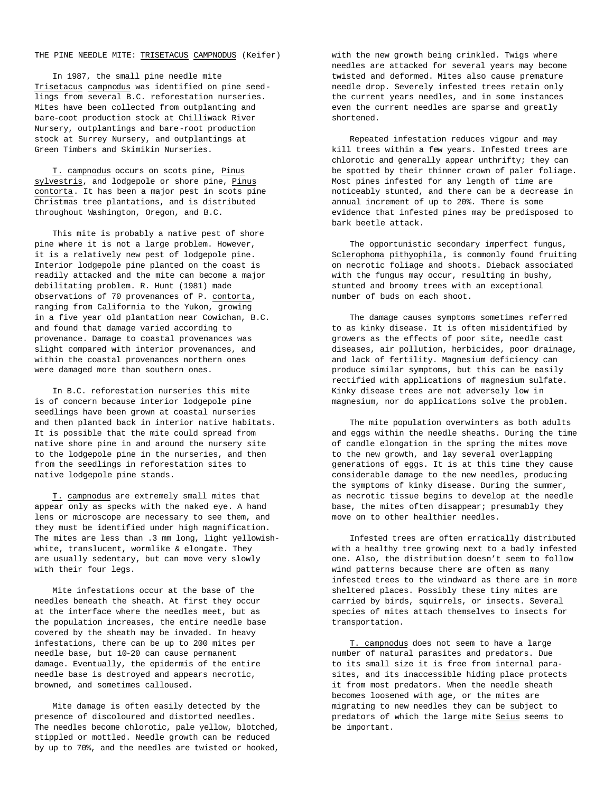## THE PINE NEEDLE MITE: TRISETACUS CAMPNODUS (Keifer)

In 1987, the small pine needle mite Trisetacus campnodus was identified on pine seedlings from several B.C. reforestation nurseries. Mites have been collected from outplanting and bare-coot production stock at Chilliwack River Nursery, outplantings and bare-root production stock at Surrey Nursery, and outplantings at Green Timbers and Skimikin Nurseries.

T. campnodus occurs on scots pine, Pinus sylvestris, and lodgepole or shore pine, Pinus contorta. It has been a major pest in scots pine Christmas tree plantations, and is distributed throughout Washington, Oregon, and B.C.

This mite is probably a native pest of shore pine where it is not a large problem. However, it is a relatively new pest of lodgepole pine. Interior lodgepole pine planted on the coast is readily attacked and the mite can become a major debilitating problem. R. Hunt (1981) made observations of 70 provenances of P. contorta, ranging from California to the Yukon, growing in a five year old plantation near Cowichan, B.C. and found that damage varied according to provenance. Damage to coastal provenances was slight compared with interior provenances, and within the coastal provenances northern ones were damaged more than southern ones.

In B.C. reforestation nurseries this mite is of concern because interior lodgepole pine seedlings have been grown at coastal nurseries and then planted back in interior native habitats. It is possible that the mite could spread from native shore pine in and around the nursery site to the lodgepole pine in the nurseries, and then from the seedlings in reforestation sites to native lodgepole pine stands.

T. campnodus are extremely small mites that appear only as specks with the naked eye. A hand lens or microscope are necessary to see them, and they must be identified under high magnification. The mites are less than .3 mm long, light yellowishwhite, translucent, wormlike & elongate. They are usually sedentary, but can move very slowly with their four legs.

Mite infestations occur at the base of the needles beneath the sheath. At first they occur at the interface where the needles meet, but as the population increases, the entire needle base covered by the sheath may be invaded. In heavy infestations, there can be up to 200 mites per needle base, but 10-20 can cause permanent damage. Eventually, the epidermis of the entire needle base is destroyed and appears necrotic, browned, and sometimes calloused.

Mite damage is often easily detected by the presence of discoloured and distorted needles. The needles become chlorotic, pale yellow, blotched, stippled or mottled. Needle growth can be reduced by up to 70%, and the needles are twisted or hooked,

with the new growth being crinkled. Twigs where needles are attacked for several years may become twisted and deformed. Mites also cause premature needle drop. Severely infested trees retain only the current years needles, and in some instances even the current needles are sparse and greatly shortened.

Repeated infestation reduces vigour and may kill trees within a few years. Infested trees are chlorotic and generally appear unthrifty; they can be spotted by their thinner crown of paler foliage. Most pines infested for any length of time are noticeably stunted, and there can be a decrease in annual increment of up to 20%. There is some evidence that infested pines may be predisposed to bark beetle attack.

The opportunistic secondary imperfect fungus, Sclerophoma pithyophila, is commonly found fruiting on necrotic foliage and shoots. Dieback associated with the fungus may occur, resulting in bushy, stunted and broomy trees with an exceptional number of buds on each shoot.

The damage causes symptoms sometimes referred to as kinky disease. It is often misidentified by growers as the effects of poor site, needle cast diseases, air pollution, herbicides, poor drainage, and lack of fertility. Magnesium deficiency can produce similar symptoms, but this can be easily rectified with applications of magnesium sulfate. Kinky disease trees are not adversely low in magnesium, nor do applications solve the problem.

The mite population overwinters as both adults and eggs within the needle sheaths. During the time of candle elongation in the spring the mites move to the new growth, and lay several overlapping generations of eggs. It is at this time they cause considerable damage to the new needles, producing the symptoms of kinky disease. During the summer, as necrotic tissue begins to develop at the needle base, the mites often disappear; presumably they move on to other healthier needles.

Infested trees are often erratically distributed with a healthy tree growing next to a badly infested one. Also, the distribution doesn't seem to follow wind patterns because there are often as many infested trees to the windward as there are in more sheltered places. Possibly these tiny mites are carried by birds, squirrels, or insects. Several species of mites attach themselves to insects for transportation.

T. campnodus does not seem to have a large number of natural parasites and predators. Due to its small size it is free from internal parasites, and its inaccessible hiding place protects it from most predators. When the needle sheath becomes loosened with age, or the mites are migrating to new needles they can be subject to predators of which the large mite Seius seems to be important.